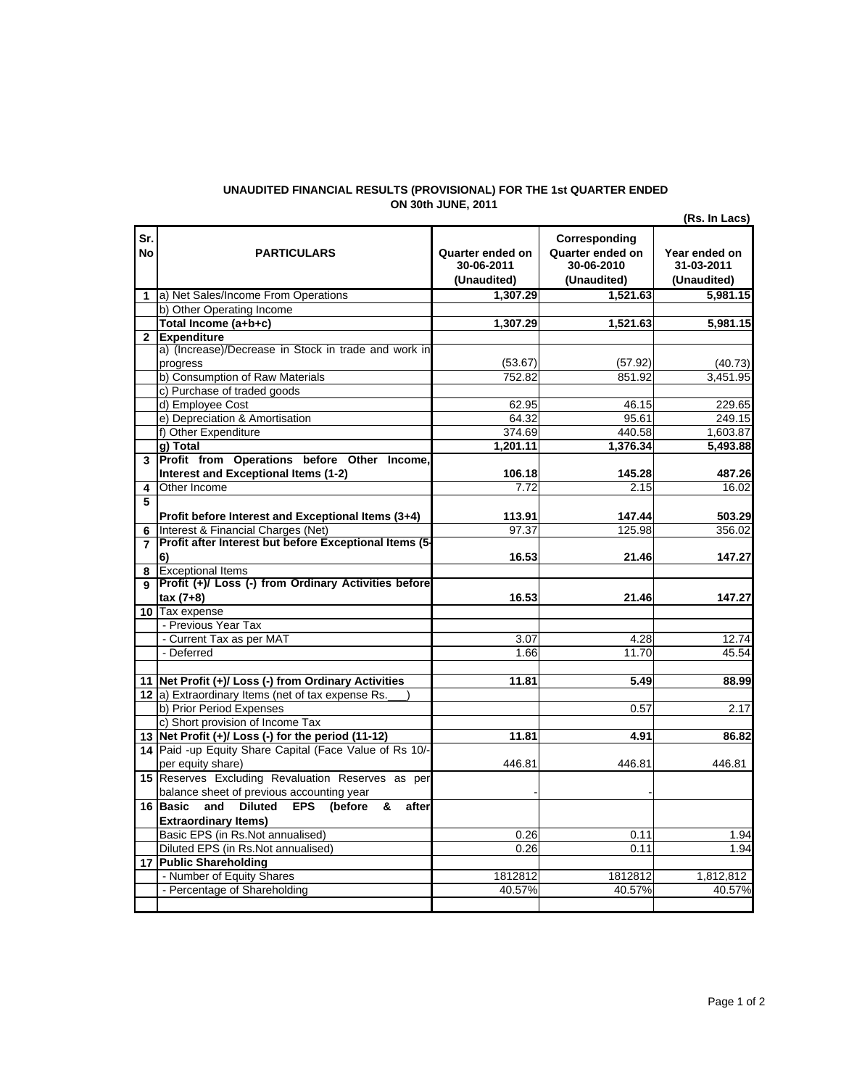## **UNAUDITED FINANCIAL RESULTS (PROVISIONAL) FOR THE 1st QUARTER ENDED ON 30th JUNE, 2011**

**Sr.** 

**5**

**7**

 - Number of Equity Shares - Percentage of Shareholding

**(Rs. In Lacs) No DESCRIPTION PARTICULARS Quarter ended on Corresponding Quarter ended on Year ended on 30-06-2011 (Unaudited) 30-06-2010 (Unaudited) 31-03-2011 (Unaudited) 1 1,307.29 1,521.63 5,981.15** a) Net Sales/Income From Operations **1,307.29 1,521.63 5,981.15 2 Expenditure**  $(53.67)$   $(57.92)$   $(40.73)$ 752.82 851.92 3,451.95 62.95 46.15 229.65 64.32 95.61 249.15<br>374.69 440.58 1,603.87 1,603.87 **1,201.11 1,376.34 5,493.88 3 Profit from Operations before Other Income, 106.18 145.28 487.26 4** 7.72 2.15 16.02 Other Income **113.91 147.44 503.29 6** 97.37 125.98 356.02 Interest & Financial Charges (Net) **16.53 21.46 147.27 8** Exceptional Items **9 Profit (+)/ Loss (-) from Ordinary Activities before 16.53 21.46 147.27 10** Tax expense 3.07 4.28 12.74 1.66 11.70 45.54 **11 11.81 5.49 88.99 Net Profit (+)/ Loss (-) from Ordinary Activities 12** a) Extraordinary Items (net of tax expense Rs. 0.57 2.17 **13 11.81 4.91 86.82 Net Profit (+)/ Loss (-) for the period (11-12) 14** Paid -up Equity Share Capital (Face Value of Rs 10/- 446.81 446.81 446.81 **15** Reserves Excluding Revaluation Reserves as per - - **16 Basic and Diluted EPS (before & after** 0.26 0.11 1.94 0.26 0.11 1.94 **17 Public Shareholding** c) Purchase of traded goods d) Employee Cost **PARTICULARS**  b) Other Operating Income **Total Income (a+b+c)** a) (Increase)/Decrease in Stock in trade and work in progress b) Consumption of Raw Materials - Previous Year Tax e) Depreciation & Amortisation f) Other Expenditure **g) Total Interest and Exceptional Items (1-2) Profit before Interest and Exceptional Items (3+4) Profit after Interest but before Exceptional Items (5- 6) tax (7+8) Extraordinary Items)** Basic EPS (in Rs.Not annualised) - Current Tax as per MAT - Deferred b) Prior Period Expenses c) Short provision of Income Tax per equity share) balance sheet of previous accounting year Diluted EPS (in Rs.Not annualised)

1812812 1812812 1,812,812 40.57% 40.57% 40.57%